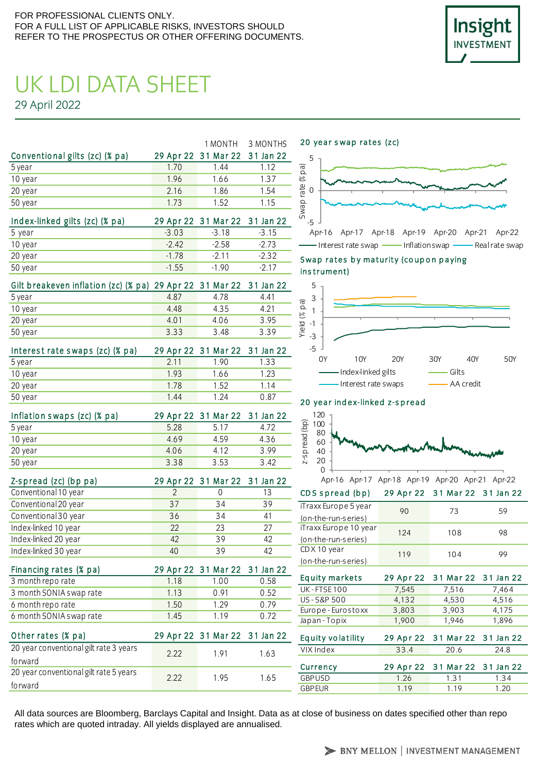

# UK LDI DATA SHEET 29 April 2022

|                                |       |                               | 1 MONTH 3 MONTHS |
|--------------------------------|-------|-------------------------------|------------------|
| Conventional gilts (zc) (% pa) |       | 29 Apr 22 31 Mar 22 31 Jan 22 |                  |
| 5 year                         | 1.70  | 144                           | 1 1 2            |
| 10 year                        | 1.96  | 1.66                          | 1.37             |
| 20 year                        | 2 1 6 | 1.86                          | 1.54             |
| 50 year                        | 1 73  | 1.52                          | 1.15             |
|                                |       |                               |                  |

| Index-linked gilts (zc) (% pa) |         | 29 Apr 22 31 Mar 22 31 Jan 22 |        |
|--------------------------------|---------|-------------------------------|--------|
| 5 year                         | $-3.03$ | $-3.18$                       | $-315$ |
| 10 year                        | $-242$  | $-2.58$                       | $-273$ |
| 20 year                        | $-178$  | $-211$                        | $-232$ |
| 50 year                        | $-1.55$ | $-190$                        | $-217$ |

| Gilt breakeven inflation (zc) (% pa) 29 Apr 22 31 Mar 22 31 Jan 22 |       |       |      |
|--------------------------------------------------------------------|-------|-------|------|
| 5 year                                                             | 487   | 4 7 8 | 4 41 |
| 10 year                                                            | 448   | 435   | 4 21 |
| 20 year                                                            | 4 0 1 | 406   | 395  |
| 50 year                                                            | 3.33  | 3.48  | 339  |

| Interest rate swaps (zc) (% pa) |       | 29 Apr 22 31 Mar 22 31 Jan 22 |       |
|---------------------------------|-------|-------------------------------|-------|
| 5 year                          | 2 1 1 | 1 90                          | 1 3 3 |
| 10 year                         | 193   | 1.66                          | 1 23  |
| 20 year                         | 1 7 8 | 152                           | 1 1 4 |
| 50 year                         | 144   | 1 24                          | ი გ7  |

| Inflation swaps (zc) (% pa) |      | 29 Apr 22 31 Mar 22 31 Jan 22 |      |
|-----------------------------|------|-------------------------------|------|
| 5 year                      | 5 28 | 5 1 7                         | 4.72 |
| 10 year                     | 469  | 459                           | 4.36 |
| 20 year                     | 406  | 412                           | 399  |
| 50 year                     | 338  | 3.53                          | 3.42 |

| Z-spread (zc) (bp pa) |    | 29 Apr 22 31 Mar 22 31 Jan 22 |    |
|-----------------------|----|-------------------------------|----|
| Conventional 10 year  |    |                               | 13 |
| Conventional 20 year  | 37 | 34                            | 39 |
| Conventional 30 year  | 36 | 34                            | 41 |
| Index-linked 10 year  | 22 | 23                            | 27 |
| Index-linked 20 year  | 42 | 39                            | 42 |
| Index-linked 30 year  | 40 | 39                            | 42 |

| Financing rates (% pa)  |       | 29 Apr 22 31 Mar 22 31 Jan 22 |      |
|-------------------------|-------|-------------------------------|------|
| 3 month reporate        | 1 1 8 | 1.00                          | 0.58 |
| 3 month SONIA swap rate | 1 1 3 | O 91                          | 0.52 |
| 6 month reporate        | 1.50  | 1 29                          | 0.79 |
| 6 month SONIA swap rate | 145   | 1 1 9                         | 0.72 |

| U IIIUIILII JUINIA JWAD TALU           | 1.7J | 1.17                          | V.IL | Japan - Topix     |
|----------------------------------------|------|-------------------------------|------|-------------------|
| Other rates (% pa)                     |      | 29 Apr 22 31 Mar 22 31 Jan 22 |      | Equity volatility |
| 20 year conventional gilt rate 3 years | 222  | 191                           | 1.63 | VIX Index         |
| fo rward                               |      |                               |      |                   |
| 20 year conventional gilt rate 5 years |      |                               |      | Currency          |
|                                        | 2.22 | 195                           | 1.65 | <b>GBPUSD</b>     |
| forward                                |      |                               |      | <b>CDDELID</b>    |

20 year swap rates (zc)



- Interest rate swap - Inflation swap - Real rate swap

Swap rates by maturity (coupon paying ins trument)



#### 20 year index-linked z-spread



| Apr-16 Apr-17 Apr-18 Apr-19 Apr-20 Apr-21 Apr-22 |     |                               |    |
|--------------------------------------------------|-----|-------------------------------|----|
| CDS spread (bp)                                  |     | 29 Apr 22 31 Mar 22 31 Jan 22 |    |
| iTraxx Europe 5 year                             | 90  | 73                            | 59 |
| (on-the-run-series)                              |     |                               |    |
| iTraxx Europe 10 year                            | 124 | 108                           | 98 |
| (on-the-run-series)                              |     |                               |    |
| $CDX10$ year                                     | 119 | 104                           | 99 |
| (on-the-run-series)                              |     |                               |    |
|                                                  |     |                               |    |

| <b>Equity markets</b> |       | 29 Apr 22 31 Mar 22 31 Jan 22 |       |
|-----------------------|-------|-------------------------------|-------|
| <b>UK-FTSE100</b>     | 7,545 | 7,516                         | 7,464 |
| US-S&P 500            | 4,132 | 4,530                         | 4,516 |
| Europe - Eurostoxx    | 3,803 | 3,903                         | 4,175 |
| Japan - Topix         | 1,900 | 1,946                         | 1,896 |
|                       |       |                               |       |
| Equity volatility     |       | 29 Apr 22 31 Mar 22 31 Jan 22 |       |
| VIX Index             | 33.4  | 20.6                          | 24.8  |
| Currency              |       | 29 Apr 22 31 Mar 22 31 Jan 22 |       |
| <b>GBPUSD</b>         | 1.26  | 1.31                          | 1.34  |

All data sources are Bloomberg, Barclays Capital and Insight. Data as at close of business on dates specified other than repo rates which are quoted intraday. All yields displayed are annualised.